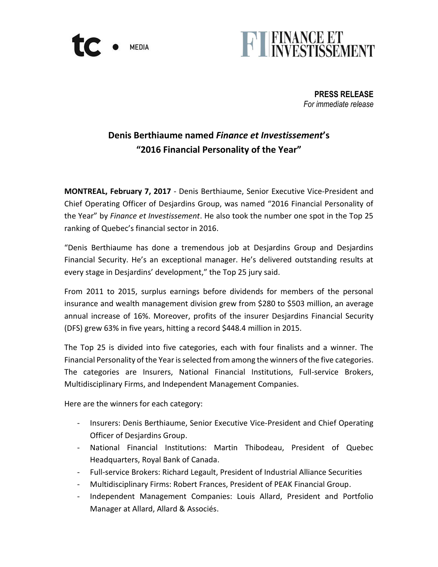



**PRESS RELEASE** *For immediate release*

# **Denis Berthiaume named** *Finance et Investissement***'s "2016 Financial Personality of the Year"**

**MONTREAL, February 7, 2017** - Denis Berthiaume, Senior Executive Vice-President and Chief Operating Officer of Desjardins Group, was named "2016 Financial Personality of the Year" by *Finance et Investissement*. He also took the number one spot in the Top 25 ranking of Quebec's financial sector in 2016.

"Denis Berthiaume has done a tremendous job at Desjardins Group and Desjardins Financial Security. He's an exceptional manager. He's delivered outstanding results at every stage in Desjardins' development," the Top 25 jury said.

From 2011 to 2015, surplus earnings before dividends for members of the personal insurance and wealth management division grew from \$280 to \$503 million, an average annual increase of 16%. Moreover, profits of the insurer Desjardins Financial Security (DFS) grew 63% in five years, hitting a record \$448.4 million in 2015.

The Top 25 is divided into five categories, each with four finalists and a winner. The Financial Personality of the Year is selected from among the winners of the five categories. The categories are Insurers, National Financial Institutions, Full-service Brokers, Multidisciplinary Firms, and Independent Management Companies.

Here are the winners for each category:

- Insurers: Denis Berthiaume, Senior Executive Vice-President and Chief Operating Officer of Desjardins Group.
- National Financial Institutions: Martin Thibodeau, President of Quebec Headquarters, Royal Bank of Canada.
- Full-service Brokers: Richard Legault, President of Industrial Alliance Securities
- Multidisciplinary Firms: Robert Frances, President of PEAK Financial Group.
- Independent Management Companies: Louis Allard, President and Portfolio Manager at Allard, Allard & Associés.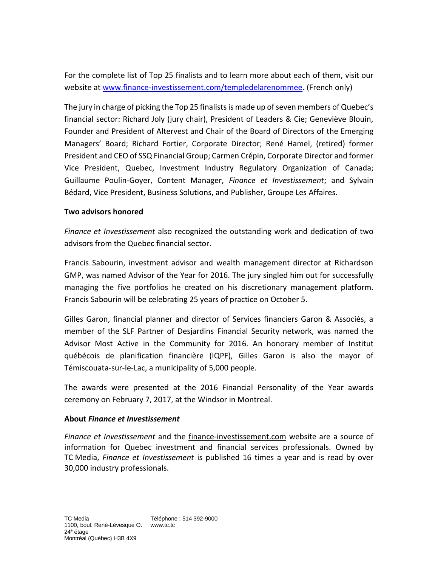For the complete list of Top 25 finalists and to learn more about each of them, visit our website at [www.finance-investissement.com/templedelarenommee.](http://www.finance-investissement.com/templedelarenommee) (French only)

The jury in charge of picking the Top 25 finalists is made up of seven members of Quebec's financial sector: Richard Joly (jury chair), President of Leaders & Cie; Geneviève Blouin, Founder and President of Altervest and Chair of the Board of Directors of the Emerging Managers' Board; Richard Fortier, Corporate Director; René Hamel, (retired) former President and CEO of SSQ Financial Group; Carmen Crépin, Corporate Director and former Vice President, Quebec, Investment Industry Regulatory Organization of Canada; Guillaume Poulin-Goyer, Content Manager, *Finance et Investissement*; and Sylvain Bédard, Vice President, Business Solutions, and Publisher, Groupe Les Affaires.

## **Two advisors honored**

*Finance et Investissement* also recognized the outstanding work and dedication of two advisors from the Quebec financial sector.

Francis Sabourin, investment advisor and wealth management director at Richardson GMP, was named Advisor of the Year for 2016. The jury singled him out for successfully managing the five portfolios he created on his discretionary management platform. Francis Sabourin will be celebrating 25 years of practice on October 5.

Gilles Garon, financial planner and director of Services financiers Garon & Associés, a member of the SLF Partner of Desjardins Financial Security network, was named the Advisor Most Active in the Community for 2016. An honorary member of Institut québécois de planification financière (IQPF), Gilles Garon is also the mayor of Témiscouata-sur-le-Lac, a municipality of 5,000 people.

The awards were presented at the 2016 Financial Personality of the Year awards ceremony on February 7, 2017, at the Windsor in Montreal.

## **About** *Finance et Investissement*

*Finance et Investissement* and the [finance-investissement.com](http://www.finance-investissement.com/) website are a source of information for Quebec investment and financial services professionals. Owned by TC Media, *Finance et Investissement* is published 16 times a year and is read by over 30,000 industry professionals.